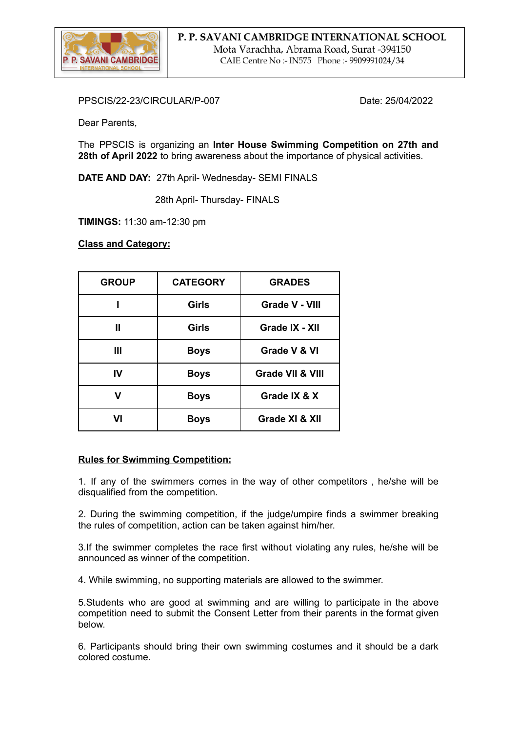

PPSCIS/22-23/CIRCULAR/P-007 Date: 25/04/2022

Dear Parents,

The PPSCIS is organizing an **Inter House Swimming Competition on 27th and 28th of April 2022** to bring awareness about the importance of physical activities.

**DATE AND DAY:** 27th April- Wednesday- SEMI FINALS

28th April- Thursday- FINALS

**TIMINGS:** 11:30 am-12:30 pm

**Class and Category:**

| <b>GROUP</b> | <b>CATEGORY</b> | <b>GRADES</b>               |
|--------------|-----------------|-----------------------------|
|              | <b>Girls</b>    | <b>Grade V - VIII</b>       |
| Ш            | <b>Girls</b>    | Grade IX - XII              |
| Ш            | <b>Boys</b>     | Grade V & VI                |
| IV           | <b>Boys</b>     | <b>Grade VII &amp; VIII</b> |
| v            | <b>Boys</b>     | Grade IX & X                |
| VI           | <b>Boys</b>     | Grade XI & XII              |

## **Rules for Swimming Competition:**

1. If any of the swimmers comes in the way of other competitors , he/she will be disqualified from the competition.

2. During the swimming competition, if the judge/umpire finds a swimmer breaking the rules of competition, action can be taken against him/her.

3.If the swimmer completes the race first without violating any rules, he/she will be announced as winner of the competition.

4. While swimming, no supporting materials are allowed to the swimmer.

5.Students who are good at swimming and are willing to participate in the above competition need to submit the Consent Letter from their parents in the format given below.

6. Participants should bring their own swimming costumes and it should be a dark colored costume.